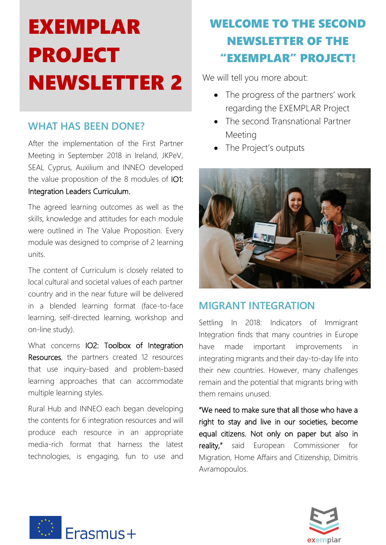# EXEMPLAR PROJECT NEWSLETTER 2

#### **WHAT HAS BEEN DONE?**

After the implementation of the First Partner Meeting in September 2018 in Ireland, JKPeV, SEAL Cyprus, Auxilium and INNEO developed the value proposition of the 8 modules of IO1: Integration Leaders Curriculum.

The agreed learning outcomes as well as the skills, knowledge and attitudes for each module were outlined in The Value Proposition. Every module was designed to comprise of 2 learning units.

The content of Curriculum is closely related to local cultural and societal values of each partner country and in the near future will be delivered in a blended learning format (face-to-face learning, self-directed learning, workshop and on-line study).

What concerns IO2: Toolbox of Integration Resources, the partners created 12 resources that use inquiry-based and problem-based learning approaches that can accommodate multiple learning styles.

Rural Hub and INNEO each began developing the contents for 6 integration resources and will produce each resource in an appropriate media-rich format that harness the latest technologies, is engaging, fun to use and

### WELCOME TO THE SECOND NEWSLETTER OF THE "EXEMPLAR" PROJECT!

We will tell you more about:

- The progress of the partners' work regarding the EXEMPLAR Project
- The second Transnational Partner Meeting
- The Project's outputs



#### **MIGRANT INTEGRATION**

Settling In 2018: Indicators of Immigrant Integration finds that many countries in Europe have made important improvements in integrating migrants and their day-to-day life into their new countries. However, many challenges remain and the potential that migrants bring with them remains unused.

"We need to make sure that all those who have a right to stay and live in our societies, become equal citizens. Not only on paper but also in reality," said European Commissioner for Migration, Home Affairs and Citizenship, Dimitris Avramopoulos.



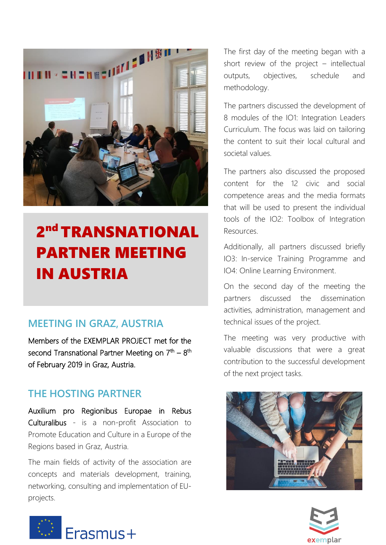

## 2<sup>nd</sup> TRANSNATIONAL PARTNER MEETING IN AUSTRIA

#### **MEETING IN GRAZ, AUSTRIA**

Members of the EXEMPLAR PROJECT met for the second Transnational Partner Meeting on 7<sup>th</sup> – 8<sup>th</sup> of February 2019 in Graz, Austria.

#### **THE HOSTING PARTNER**

Auxilium pro Regionibus Europae in Rebus Culturalibus - is a non-profit Association to Promote Education and Culture in a Europe of the Regions based in Graz, Austria.

The main fields of activity of the association are concepts and materials development, training, networking, consulting and implementation of EUprojects.

The first day of the meeting began with a short review of the project – intellectual outputs, objectives, schedule and methodology.

The partners discussed the development of 8 modules of the IO1: Integration Leaders Curriculum. The focus was laid on tailoring the content to suit their local cultural and societal values.

The partners also discussed the proposed content for the 12 civic and social competence areas and the media formats that will be used to present the individual tools of the IO2: Toolbox of Integration Resources.

Additionally, all partners discussed briefly IO3: In-service Training Programme and IO4: Online Learning Environment.

On the second day of the meeting the partners discussed the dissemination activities, administration, management and technical issues of the project.

The meeting was very productive with valuable discussions that were a great contribution to the successful development of the next project tasks.